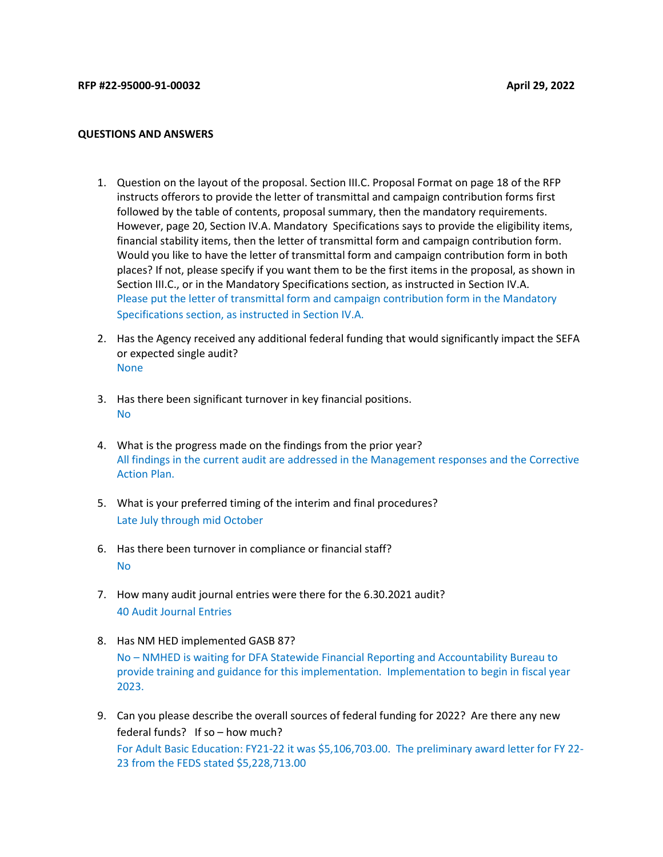## QUESTIONS AND ANSWERS

- 1. Question on the layout of the proposal. Section III.C. Proposal Format on page 18 of the RFP instructs offerors to provide the letter of transmittal and campaign contribution forms first followed by the table of contents, proposal summary, then the mandatory requirements. However, page 20, Section IV.A. Mandatory Specifications says to provide the eligibility items, financial stability items, then the letter of transmittal form and campaign contribution form. Would you like to have the letter of transmittal form and campaign contribution form in both places? If not, please specify if you want them to be the first items in the proposal, as shown in Section III.C., or in the Mandatory Specifications section, as instructed in Section IV.A. Please put the letter of transmittal form and campaign contribution form in the Mandatory Specifications section, as instructed in Section IV.A.
- 2. Has the Agency received any additional federal funding that would significantly impact the SEFA or expected single audit? None
- 3. Has there been significant turnover in key financial positions. No
- 4. What is the progress made on the findings from the prior year? All findings in the current audit are addressed in the Management responses and the Corrective Action Plan.
- 5. What is your preferred timing of the interim and final procedures? Late July through mid October
- 6. Has there been turnover in compliance or financial staff? No
- 7. How many audit journal entries were there for the 6.30.2021 audit? 40 Audit Journal Entries
- 8. Has NM HED implemented GASB 87? No – NMHED is waiting for DFA Statewide Financial Reporting and Accountability Bureau to provide training and guidance for this implementation. Implementation to begin in fiscal year 2023.
- 9. Can you please describe the overall sources of federal funding for 2022? Are there any new federal funds? If so – how much? For Adult Basic Education: FY21-22 it was \$5,106,703.00. The preliminary award letter for FY 22-23 from the FEDS stated \$5,228,713.00